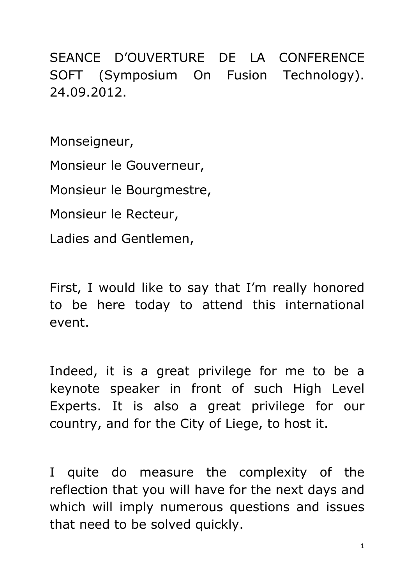SEANCE D'OUVERTURE DE LA CONFERENCE SOFT (Symposium On Fusion Technology). 24.09.2012.

Monseigneur,

Monsieur le Gouverneur,

Monsieur le Bourgmestre,

Monsieur le Recteur,

Ladies and Gentlemen,

First, I would like to say that I'm really honored to be here today to attend this international event.

Indeed, it is a great privilege for me to be a keynote speaker in front of such High Level Experts. It is also a great privilege for our country, and for the City of Liege, to host it.

I quite do measure the complexity of the reflection that you will have for the next days and which will imply numerous questions and issues that need to be solved quickly.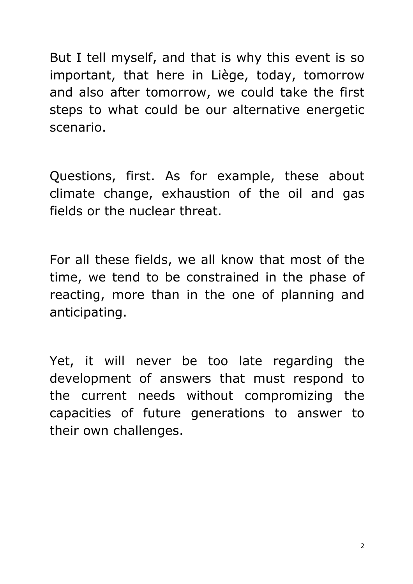But I tell myself, and that is why this event is so important, that here in Liège, today, tomorrow and also after tomorrow, we could take the first steps to what could be our alternative energetic scenario.

Questions, first. As for example, these about climate change, exhaustion of the oil and gas fields or the nuclear threat.

For all these fields, we all know that most of the time, we tend to be constrained in the phase of reacting, more than in the one of planning and anticipating.

Yet, it will never be too late regarding the development of answers that must respond to the current needs without compromizing the capacities of future generations to answer to their own challenges.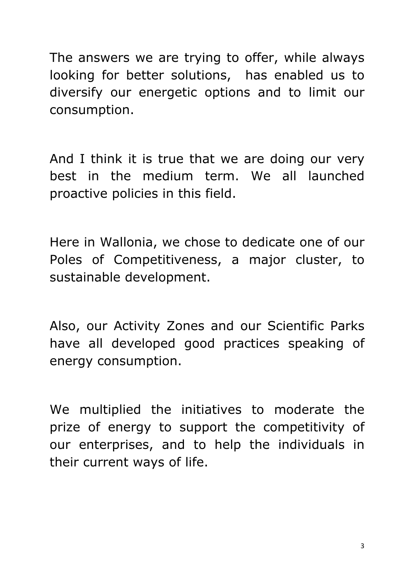The answers we are trying to offer, while always looking for better solutions, has enabled us to diversify our energetic options and to limit our consumption.

And I think it is true that we are doing our very best in the medium term. We all launched proactive policies in this field.

Here in Wallonia, we chose to dedicate one of our Poles of Competitiveness, a major cluster, to sustainable development.

Also, our Activity Zones and our Scientific Parks have all developed good practices speaking of energy consumption.

We multiplied the initiatives to moderate the prize of energy to support the competitivity of our enterprises, and to help the individuals in their current ways of life.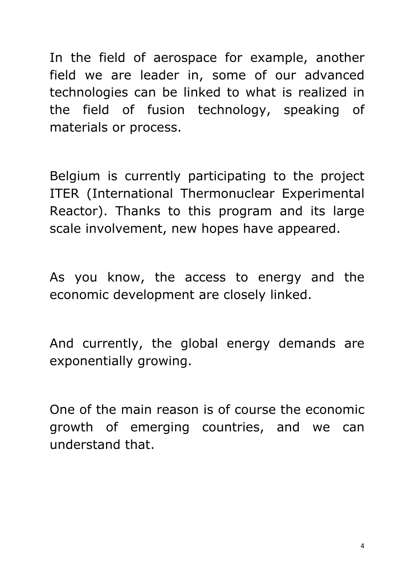In the field of aerospace for example, another field we are leader in, some of our advanced technologies can be linked to what is realized in the field of fusion technology, speaking of materials or process.

Belgium is currently participating to the project ITER (International Thermonuclear Experimental Reactor). Thanks to this program and its large scale involvement, new hopes have appeared.

As you know, the access to energy and the economic development are closely linked.

And currently, the global energy demands are exponentially growing.

One of the main reason is of course the economic growth of emerging countries, and we can understand that.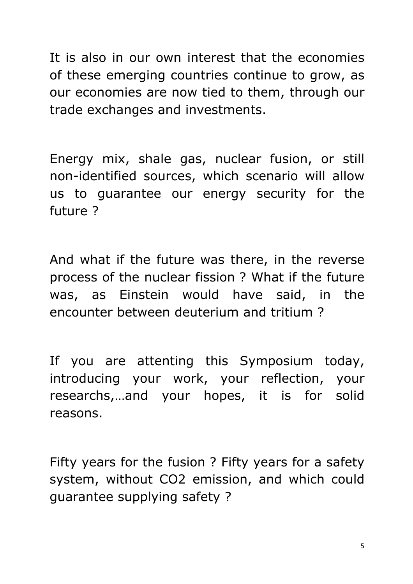It is also in our own interest that the economies of these emerging countries continue to grow, as our economies are now tied to them, through our trade exchanges and investments.

Energy mix, shale gas, nuclear fusion, or still non-identified sources, which scenario will allow us to guarantee our energy security for the future ?

And what if the future was there, in the reverse process of the nuclear fission ? What if the future was, as Einstein would have said, in the encounter between deuterium and tritium ?

If you are attenting this Symposium today, introducing your work, your reflection, your researchs,…and your hopes, it is for solid reasons.

Fifty years for the fusion ? Fifty years for a safety system, without CO2 emission, and which could guarantee supplying safety ?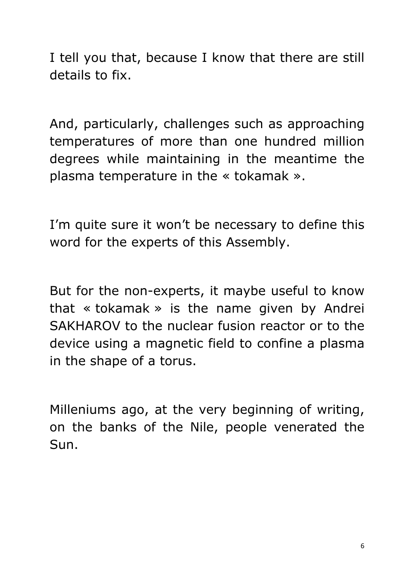I tell you that, because I know that there are still details to fix.

And, particularly, challenges such as approaching temperatures of more than one hundred million degrees while maintaining in the meantime the plasma temperature in the « tokamak ».

I'm quite sure it won't be necessary to define this word for the experts of this Assembly.

But for the non-experts, it maybe useful to know that « tokamak » is the name given by Andrei SAKHAROV to the nuclear fusion reactor or to the device using a magnetic field to confine a plasma in the shape of a torus.

Milleniums ago, at the very beginning of writing, on the banks of the Nile, people venerated the Sun.